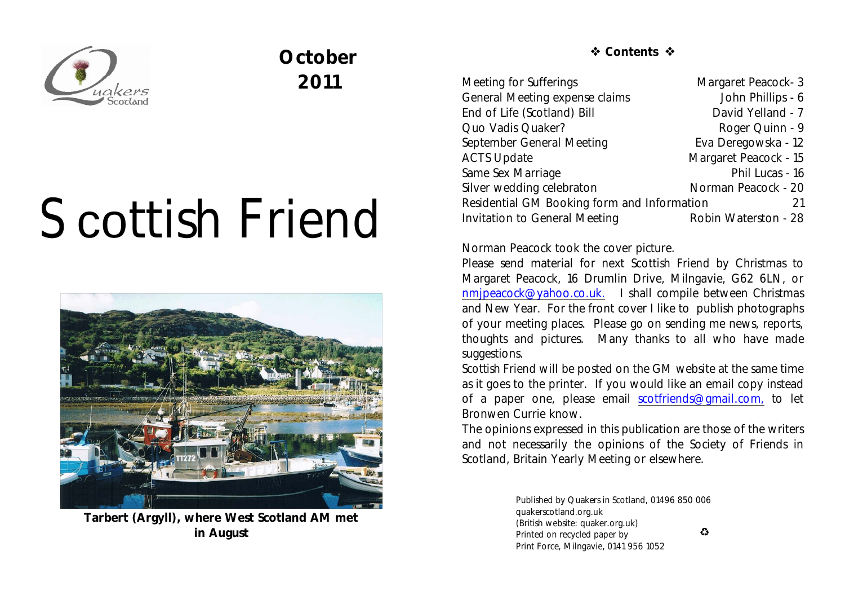

# **October 2011**

# Scottish Friend



**Tarbert (Argyll), where West Scotland AM met in August**

 **Contents** 

| Meeting for Sufferings                            | Margaret Peacock-3    |
|---------------------------------------------------|-----------------------|
| General Meeting expense claims                    | John Phillips - 6     |
| End of Life (Scotland) Bill                       | David Yelland - 7     |
| Quo Vadis Quaker?                                 | Roger Quinn - 9       |
| September General Meeting                         | Eva Deregowska - 12   |
| <b>ACTS Update</b>                                | Margaret Peacock - 15 |
| Same Sex Marriage                                 | Phil Lucas - 16       |
| Silver wedding celebraton                         | Norman Peacock - 20   |
| Residential GM Booking form and Information<br>21 |                       |
| <b>Invitation to General Meeting</b>              | Robin Waterston - 28  |

Norman Peacock took the cover picture.

Please send material for next *Scottish Friend* by Christmas to Margaret Peacock, 16 Drumlin Drive, Milngavie, G62 6LN, or [nmjpeacock@yahoo.co.uk.](mailto:nmjpeacock@yahoo.co.uk.) I shall compile between Christmas and New Year. For the front cover I like to publish photographs of your meeting places. Please go on sending me news, reports, thoughts and pictures. Many thanks to all who have made suggestions.

*Scottish Friend* will be posted on the GM website at the same time as it goes to the printer. If you would like an email copy instead of a paper one, please email [scotfriends@gmail.com,](mailto:scotfriends@aol.com,) to let Bronwen Currie know.

The opinions expressed in this publication are those of the writers and not necessarily the opinions of the Society of Friends in Scotland, Britain Yearly Meeting or elsewhere.

> Published by Quakers in Scotland, 01496 850 006 quakerscotland.org.uk (British website: quaker.org.uk)  $\bullet$ Printed on recycled paper by Print Force, Milngavie, 0141 956 1052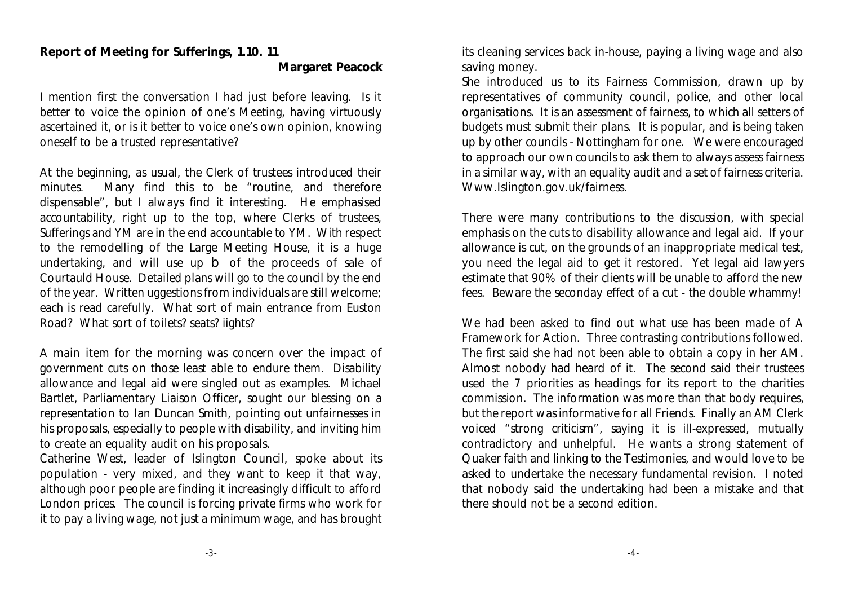#### **Report of Meeting for Sufferings, 1.10. 11 Margaret Peacock**

I mention first the conversation I had just before leaving. Is it better to voice the opinion of one's Meeting, having virtuously ascertained it, or is it better to voice one's own opinion, knowing oneself to be a trusted representative?

At the beginning, as usual, the Clerk of trustees introduced their minutes. Many find this to be "routine, and therefore dispensable", but I always find it interesting. He emphasised accountability, right up to the top, where Clerks of trustees, Sufferings and YM are in the end accountable to YM. With respect to the remodelling of the Large Meeting House, it is a huge undertaking, and will use up b of the proceeds of sale of Courtauld House. Detailed plans will go to the council by the end of the year. Written uggestions from individuals are still welcome; each is read carefully. What sort of main entrance from Euston Road? What sort of toilets? seats? iights?

A main item for the morning was concern over the impact of government cuts on those least able to endure them. Disability allowance and legal aid were singled out as examples. Michael Bartlet, Parliamentary Liaison Officer, sought our blessing on a representation to Ian Duncan Smith, pointing out unfairnesses in his proposals, especially to people with disability, and inviting him to create an equality audit on his proposals.

Catherine West, leader of Islington Council, spoke about its population - very mixed, and they want to keep it that way, although poor people are finding it increasingly difficult to afford London prices. The council is forcing private firms who work for it to pay a living wage, not just a minimum wage, and has brought its cleaning services back in-house, paying a living wage and also saving money.

She introduced us to its Fairness Commission, drawn up by representatives of community council, police, and other local organisations. It is an assessment of fairness, to which all setters of budgets must submit their plans. It is popular, and is being taken up by other councils - Nottingham for one. We were encouraged to approach our own councils to ask them to always assess fairness in a similar way, with an equality audit and a set of fairness criteria. Www.Islington.gov.uk/fairness.

There were many contributions to the discussion, with special emphasis on the cuts to disability allowance and legal aid. If your allowance is cut, on the grounds of an inappropriate medical test, you need the legal aid to get it restored. Yet legal aid lawyers estimate that 90% of their clients will be unable to afford the new fees. Beware the seconday effect of a cut - the double whammy!

We had been asked to find out what use has been made of *A Framework for Action*. Three contrasting contributions followed. The first said she had not been able to obtain a copy in her AM. Almost nobody had heard of it. The second said their trustees used the 7 priorities as headings for its report to the charities commission. The information was more than that body requires, but the report was informative for all Friends. Finally an AM Clerk voiced "strong criticism", saying it is ill-expressed, mutually contradictory and unhelpful. He wants a strong statement of Quaker faith and linking to the Testimonies, and would love to be asked to undertake the necessary fundamental revision. I noted that nobody said the undertaking had been a mistake and that there should not be a second edition.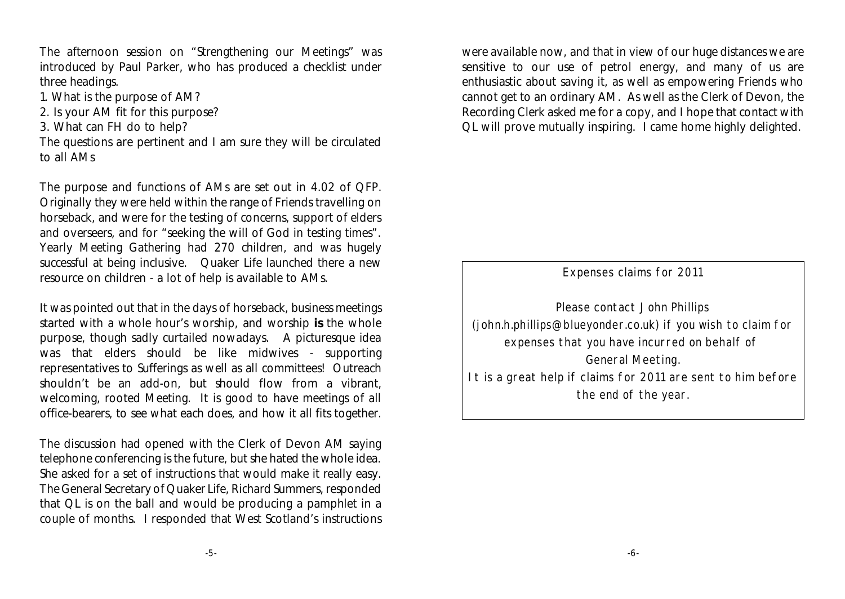The afternoon session on "Strengthening our Meetings" was introduced by Paul Parker, who has produced a checklist under three headings.

- 1. What is the purpose of AM?
- 2. Is your AM fit for this purpose?
- 3. What can FH do to help?

The questions are pertinent and I am sure they will be circulated to all AMs

The purpose and functions of AMs are set out in 4.02 of QFP. Originally they were held within the range of Friends travelling on horseback, and were for the testing of concerns, support of elders and overseers, and for "seeking the will of God in testing times". Yearly Meeting Gathering had 270 children, and was hugely successful at being inclusive. Quaker Life launched there a new resource on children - a lot of help is available to AMs.

It was pointed out that in the days of horseback, business meetings started with a whole hour's worship, and worship **is** the whole purpose, though sadly curtailed nowadays. A picturesque idea was that elders should be like midwives - supporting representatives to Sufferings as well as all committees! Outreach shouldn't be an add-on, but should flow from a vibrant, welcoming, rooted Meeting. It is good to have meetings of all office-bearers, to see what each does, and how it all fits together.

The discussion had opened with the Clerk of Devon AM saying telephone conferencing is the future, but she hated the whole idea. She asked for a set of instructions that would make it really easy. The General Secretary of Quaker Life, Richard Summers, responded that QL is on the ball and would be producing a pamphlet in a couple of months. I responded that West Scotland's instructions were available now, and that in view of our huge distances we are sensitive to our use of petrol energy, and many of us are enthusiastic about saving it, as well as empowering Friends who cannot get to an ordinary AM. As well as the Clerk of Devon, the Recording Clerk asked me for a copy, and I hope that contact with QL will prove mutually inspiring. I came home highly delighted.

Expenses claims for 2011

Please contact John Phillips (john.h.phillips@blueyonder.co.uk) if you wish to claim for expenses that you have incurred on behalf of General Meeting. It is a great help if claims for 2011 are sent to him before the end of the year.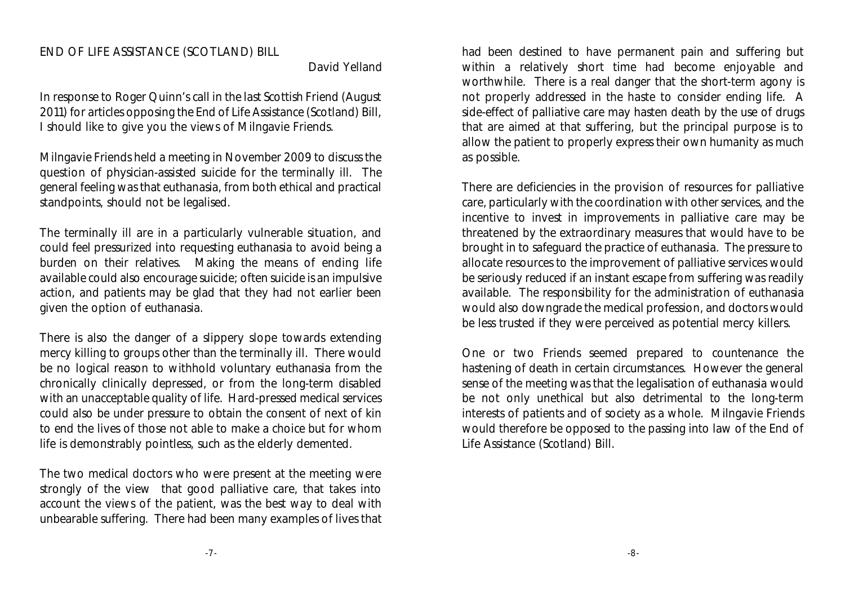#### END OF LIFE ASSISTANCE (SCOTLAND) BILL

David Yelland

In response to Roger Quinn's call in the last Scottish Friend (August 2011) for articles opposing the End of Life Assistance (Scotland) Bill, I should like to give you the views of Milngavie Friends.

Milngavie Friends held a meeting in November 2009 to discuss the question of physician-assisted suicide for the terminally ill. The general feeling was that euthanasia, from both ethical and practical standpoints, should not be legalised.

The terminally ill are in a particularly vulnerable situation, and could feel pressurized into requesting euthanasia to avoid being a burden on their relatives. Making the means of ending life available could also encourage suicide; often suicide is an impulsive action, and patients may be glad that they had not earlier been given the option of euthanasia.

There is also the danger of a slippery slope towards extending mercy killing to groups other than the terminally ill. There would be no logical reason to withhold voluntary euthanasia from the chronically clinically depressed, or from the long-term disabled with an unacceptable quality of life. Hard-pressed medical services could also be under pressure to obtain the consent of next of kin to end the lives of those not able to make a choice but for whom life is demonstrably pointless, such as the elderly demented.

The two medical doctors who were present at the meeting were strongly of the view that good palliative care, that takes into account the views of the patient, was the best way to deal with unbearable suffering. There had been many examples of lives that had been destined to have permanent pain and suffering but within a relatively short time had become enjoyable and worthwhile. There is a real danger that the short-term agony is not properly addressed in the haste to consider ending life. A side-effect of palliative care may hasten death by the use of drugs that are aimed at that suffering, but the principal purpose is to allow the patient to properly express their own humanity as much as possible.

There are deficiencies in the provision of resources for palliative care, particularly with the coordination with other services, and the incentive to invest in improvements in palliative care may be threatened by the extraordinary measures that would have to be brought in to safeguard the practice of euthanasia. The pressure to allocate resources to the improvement of palliative services would be seriously reduced if an instant escape from suffering was readily available. The responsibility for the administration of euthanasia would also downgrade the medical profession, and doctors would be less trusted if they were perceived as potential mercy killers.

One or two Friends seemed prepared to countenance the hastening of death in certain circumstances. However the general sense of the meeting was that the legalisation of euthanasia would be not only unethical but also detrimental to the long-term interests of patients and of society as a whole. Milngavie Friends would therefore be opposed to the passing into law of the End of Life Assistance (Scotland) Bill.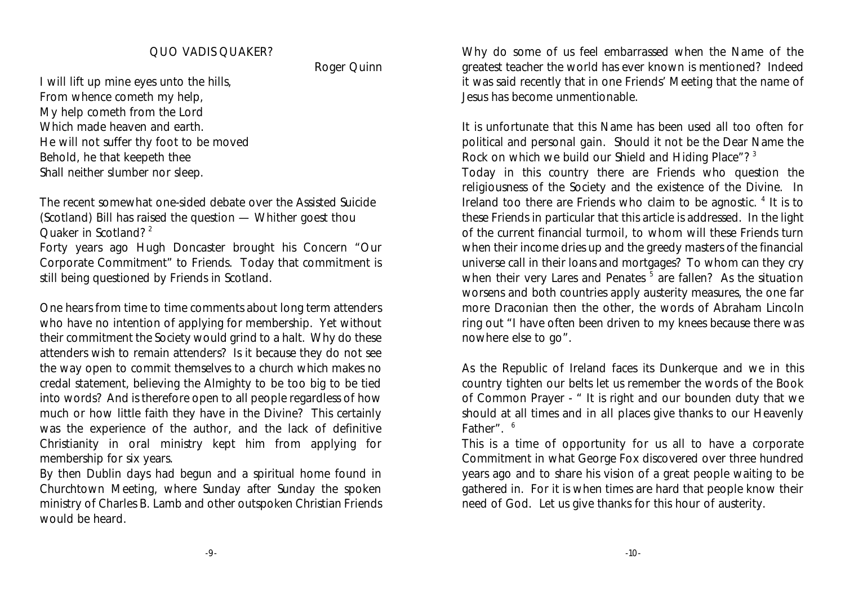#### QUO VADIS QUAKER?

Roger Quinn

I will lift up mine eyes unto the hills, From whence cometh my help, My help cometh from the Lord Which made heaven and earth. He will not suffer thy foot to be moved Behold, he that keepeth thee Shall neither slumber nor sleep.

The recent somewhat one-sided debate over the Assisted Suicide (Scotland) Bill has raised the question — Whither goest thou Quaker in Scotland?<sup>2</sup>

Forty years ago Hugh Doncaster brought his Concern "Our Corporate Commitment" to Friends. Today that commitment is still being questioned by Friends in Scotland.

One hears from time to time comments about long term attenders who have no intention of applying for membership. Yet without their commitment the Society would grind to a halt. Why do these attenders wish to remain attenders? Is it because they do not see the way open to commit themselves to a church which makes no credal statement, believing the Almighty to be too big to be tied into words? And is therefore open to all people regardless of how much or how little faith they have in the Divine? This certainly was the experience of the author, and the lack of definitive Christianity in oral ministry kept him from applying for membership for six years.

By then Dublin days had begun and a spiritual home found in Churchtown Meeting, where Sunday after Sunday the spoken ministry of Charles B. Lamb and other outspoken Christian Friends would be heard.

Why do some of us feel embarrassed when the Name of the greatest teacher the world has ever known is mentioned? Indeed it was said recently that in one Friends' Meeting that the name of Jesus has become unmentionable.

It is unfortunate that this Name has been used all too often for political and personal gain. Should it not be the Dear Name the Rock on which we build our Shield and Hiding Place"? <sup>3</sup>

Today in this country there are Friends who question the religiousness of the Society and the existence of the Divine. In Ireland too there are Friends who claim to be agnostic.  $4$  It is to these Friends in particular that this article is addressed. In the light of the current financial turmoil, to whom will these Friends turn when their income dries up and the greedy masters of the financial universe call in their loans and mortgages? To whom can they cry when their very Lares and Penates  $5$  are fallen? As the situation worsens and both countries apply austerity measures, the one far more Draconian then the other, the words of Abraham Lincoln ring out "I have often been driven to my knees because there was nowhere else to go".

As the Republic of Ireland faces its Dunkerque and we in this country tighten our belts let us remember the words of the Book of Common Prayer - " It is right and our bounden duty that we should at all times and in all places give thanks to our Heavenly Father". <sup>6</sup>

This is a time of opportunity for us all to have a corporate Commitment in what George Fox discovered over three hundred years ago and to share his vision of a great people waiting to be gathered in. For it is when times are hard that people know their need of God. Let us give thanks for this hour of austerity.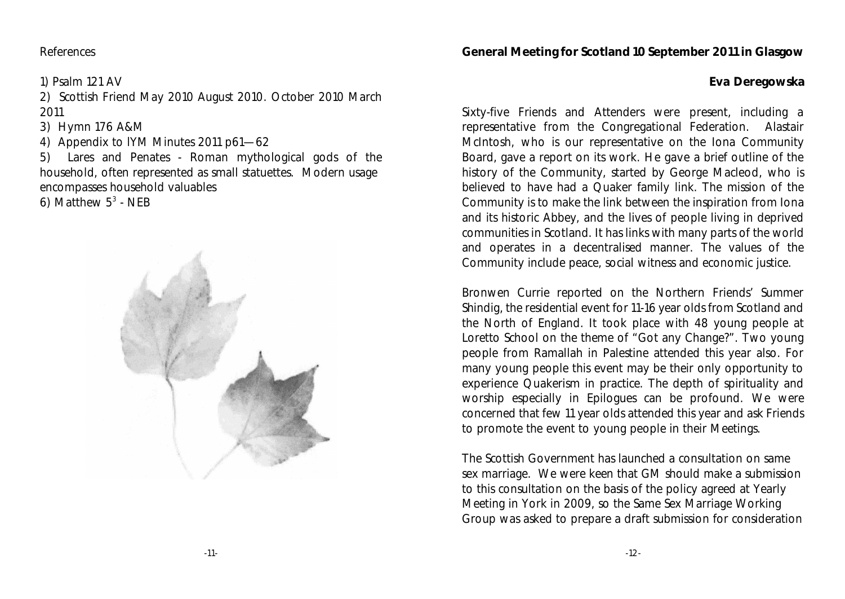#### References

1) Psalm 121 AV

2) Scottish Friend May 2010 August 2010. October 2010 March 2011

3) Hymn 176 A&M

4) Appendix to lYM Minutes 2011 p61—62

5) Lares and Penates - Roman mythological gods of the household, often represented as small statuettes. Modern usage encompasses household valuables

6) Matthew  $5^3$  - NEB



#### **General Meeting for Scotland 10 September 2011 in Glasgow**

**Eva Deregowska**

Sixty-five Friends and Attenders were present, including a representative from the Congregational Federation. Alastair McIntosh, who is our representative on the Iona Community Board, gave a report on its work. He gave a brief outline of the history of the Community, started by George Macleod, who is believed to have had a Quaker family link. The mission of the Community is to make the link between the inspiration from Iona and its historic Abbey, and the lives of people living in deprived communities in Scotland. It has links with many parts of the world and operates in a decentralised manner. The values of the Community include peace, social witness and economic justice.

Bronwen Currie reported on the Northern Friends' Summer Shindig, the residential event for 11-16 year olds from Scotland and the North of England. It took place with 48 young people at Loretto School on the theme of "Got any Change?". Two young people from Ramallah in Palestine attended this year also. For many young people this event may be their only opportunity to experience Quakerism in practice. The depth of spirituality and worship especially in Epilogues can be profound. We were concerned that few 11 year olds attended this year and ask Friends to promote the event to young people in their Meetings.

The Scottish Government has launched a consultation on same sex marriage. We were keen that GM should make a submission to this consultation on the basis of the policy agreed at Yearly Meeting in York in 2009, so the Same Sex Marriage Working Group was asked to prepare a draft submission for consideration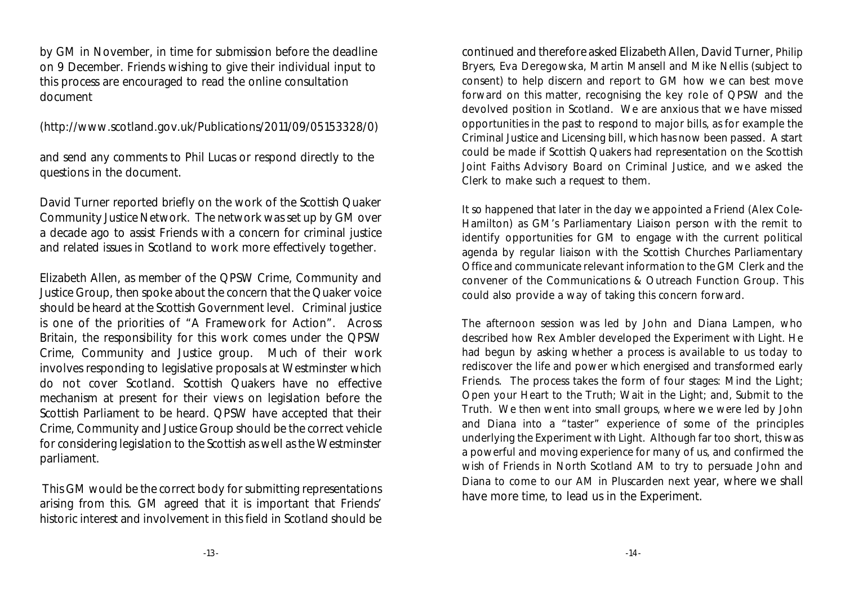by GM in November, in time for submission before the deadline on 9 December. Friends wishing to give their individual input to this process are encouraged to read the online consultation document

(http://www.scotland.gov.uk/Publications/2011/09/05153328/0)

and send any comments to Phil Lucas or respond directly to the questions in the document.

David Turner reported briefly on the work of the Scottish Quaker Community Justice Network. The network was set up by GM over a decade ago to assist Friends with a concern for criminal justice and related issues in Scotland to work more effectively together.

Elizabeth Allen, as member of the QPSW Crime, Community and Justice Group, then spoke about the concern that the Quaker voice should be heard at the Scottish Government level. Criminal justice is one of the priorities of "A Framework for Action". Across Britain, the responsibility for this work comes under the QPSW Crime, Community and Justice group. Much of their work involves responding to legislative proposals at Westminster which do not cover Scotland. Scottish Quakers have no effective mechanism at present for their views on legislation before the Scottish Parliament to be heard. QPSW have accepted that their Crime, Community and Justice Group should be the correct vehicle for considering legislation to the Scottish as well as the Westminster parliament.

 This GM would be the correct body for submitting representations arising from this. GM agreed that it is important that Friends' historic interest and involvement in this field in Scotland should be continued and therefore asked Elizabeth Allen, David Turner, Philip Bryers, Eva Deregowska, Martin Mansell and Mike Nellis (subject to consent) to help discern and report to GM how we can best move forward on this matter, recognising the key role of QPSW and the devolved position in Scotland. We are anxious that we have missed opportunities in the past to respond to major bills, as for example the Criminal Justice and Licensing bill, which has now been passed. A start could be made if Scottish Quakers had representation on the Scottish Joint Faiths Advisory Board on Criminal Justice, and we asked the Clerk to make such a request to them.

It so happened that later in the day we appointed a Friend (Alex Cole-Hamilton) as GM's Parliamentary Liaison person with the remit to identify opportunities for GM to engage with the current political agenda by regular liaison with the Scottish Churches Parliamentary Office and communicate relevant information to the GM Clerk and the convener of the Communications & Outreach Function Group. This could also provide a way of taking this concern forward.

The afternoon session was led by John and Diana Lampen, who described how Rex Ambler developed the Experiment with Light. He had begun by asking whether a process is available to us today to rediscover the life and power which energised and transformed early Friends. The process takes the form of four stages: Mind the Light; Open your Heart to the Truth; Wait in the Light; and, Submit to the Truth. We then went into small groups, where we were led by John and Diana into a "taster" experience of some of the principles underlying the Experiment with Light. Although far too short, this was a powerful and moving experience for many of us, and confirmed the wish of Friends in North Scotland AM to try to persuade John and Diana to come to our AM in Pluscarden next year, where we shall have more time, to lead us in the Experiment.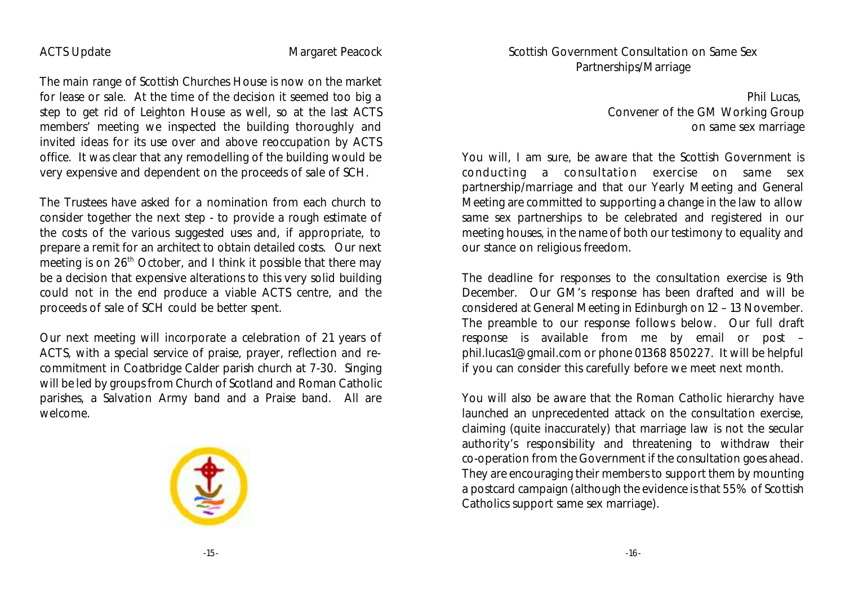#### ACTS Update Margaret Peacock

The main range of Scottish Churches House is now on the market for lease or sale. At the time of the decision it seemed too big a step to get rid of Leighton House as well, so at the last ACTS members' meeting we inspected the building thoroughly and invited ideas for its use over and above reoccupation by ACTS office. It was clear that any remodelling of the building would be very expensive and dependent on the proceeds of sale of SCH.

The Trustees have asked for a nomination from each church to consider together the next step - to provide a rough estimate of the costs of the various suggested uses and, if appropriate, to prepare a remit for an architect to obtain detailed costs. Our next meeting is on  $26<sup>th</sup>$  October, and I think it possible that there may be a decision that expensive alterations to this very solid building could not in the end produce a viable ACTS centre, and the proceeds of sale of SCH could be better spent.

Our next meeting will incorporate a celebration of 21 years of ACTS, with a special service of praise, prayer, reflection and recommitment in Coatbridge Calder parish church at 7-30. Singing will be led by groups from Church of Scotland and Roman Catholic parishes, a Salvation Army band and a Praise band. All are welcome.



Phil Lucas, Convener of the GM Working Group on same sex marriage

You will, I am sure, be aware that the Scottish Government is conducting a consultation exercise on same sex partnership/marriage and that our Yearly Meeting and General Meeting are committed to supporting a change in the law to allow same sex partnerships to be celebrated and registered in our meeting houses, in the name of both our testimony to equality and our stance on religious freedom.

The deadline for responses to the consultation exercise is 9th December. Our GM's response has been drafted and will be considered at General Meeting in Edinburgh on 12 – 13 November. The preamble to our response follows below. Our full draft response is available from me by email or post – phil.lucas1@gmail.com or phone 01368 850227. It will be helpful if you can consider this carefully before we meet next month.

You will also be aware that the Roman Catholic hierarchy have launched an unprecedented attack on the consultation exercise, claiming (quite inaccurately) that marriage law is not the secular authority's responsibility and threatening to withdraw their co-operation from the Government if the consultation goes ahead. They are encouraging their members to support them by mounting a postcard campaign (although the evidence is that 55% of Scottish Catholics support same sex marriage).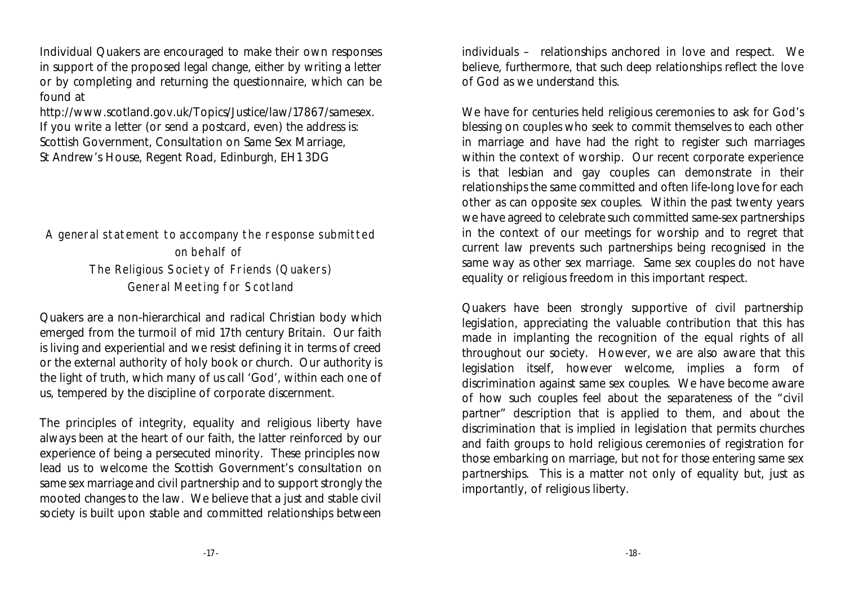Individual Quakers are encouraged to make their own responses in support of the proposed legal change, either by writing a letter or by completing and returning the questionnaire, which can be found at

http://www.scotland.gov.uk/Topics/Justice/law/17867/samesex. If you write a letter (or send a postcard, even) the address is: Scottish Government, Consultation on Same Sex Marriage, St Andrew's House, Regent Road, Edinburgh, EH1 3DG

A general statement to accompany the response submitted on behalf of The Religious Society of Friends (Quakers) General Meeting for Scotland

Quakers are a non-hierarchical and radical Christian body which emerged from the turmoil of mid 17th century Britain. Our faith is living and experiential and we resist defining it in terms of creed or the external authority of holy book or church. Our authority is the light of truth, which many of us call 'God', within each one of us, tempered by the discipline of corporate discernment.

The principles of integrity, equality and religious liberty have always been at the heart of our faith, the latter reinforced by our experience of being a persecuted minority. These principles now lead us to welcome the Scottish Government's consultation on same sex marriage and civil partnership and to support strongly the mooted changes to the law. We believe that a just and stable civil society is built upon stable and committed relationships between individuals – relationships anchored in love and respect. We believe, furthermore, that such deep relationships reflect the love of God as we understand this.

We have for centuries held religious ceremonies to ask for God's blessing on couples who seek to commit themselves to each other in marriage and have had the right to register such marriages within the context of worship. Our recent corporate experience is that lesbian and gay couples can demonstrate in their relationships the same committed and often life-long love for each other as can opposite sex couples. Within the past twenty years we have agreed to celebrate such committed same-sex partnerships in the context of our meetings for worship and to regret that current law prevents such partnerships being recognised in the same way as other sex marriage. Same sex couples do not have equality or religious freedom in this important respect.

Quakers have been strongly supportive of civil partnership legislation, appreciating the valuable contribution that this has made in implanting the recognition of the equal rights of all throughout our society. However, we are also aware that this legislation itself, however welcome, implies a form of discrimination against same sex couples. We have become aware of how such couples feel about the separateness of the "civil partner" description that is applied to them, and about the discrimination that is implied in legislation that permits churches and faith groups to hold religious ceremonies of registration for those embarking on marriage, but not for those entering same sex partnerships. This is a matter not only of equality but, just as importantly, of religious liberty.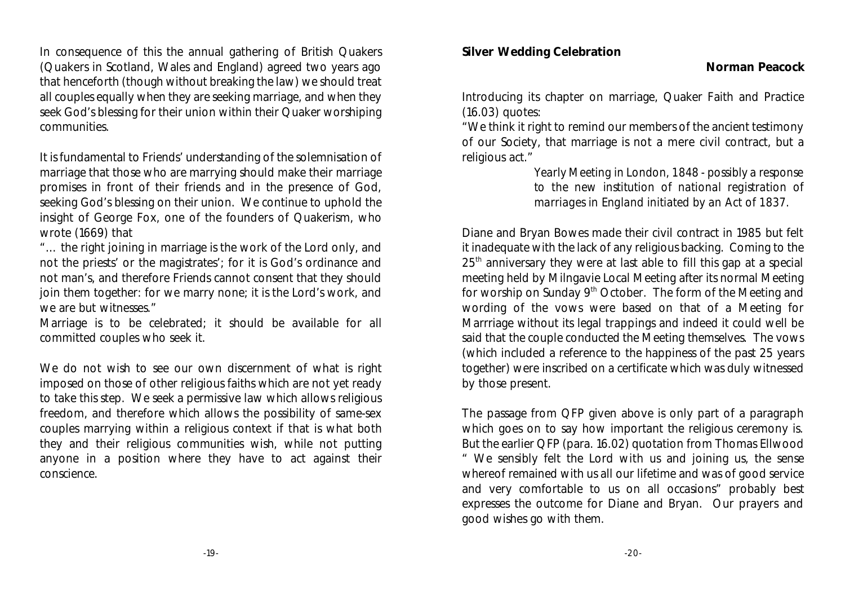In consequence of this the annual gathering of British Quakers (Quakers in Scotland, Wales and England) agreed two years ago that henceforth (though without breaking the law) we should treat all couples equally when they are seeking marriage, and when they seek God's blessing for their union within their Quaker worshiping communities.

It is fundamental to Friends' understanding of the solemnisation of marriage that those who are marrying should make their marriage promises in front of their friends and in the presence of God, seeking God's blessing on their union. We continue to uphold the insight of George Fox, one of the founders of Quakerism, who wrote (1669) that

"… the right joining in marriage is the work of the Lord only, and not the priests' or the magistrates'; for it is God's ordinance and not man's, and therefore Friends cannot consent that they should join them together: for we marry none; it is the Lord's work, and we are but witnesses."

Marriage is to be celebrated; it should be available for all committed couples who seek it.

We do not wish to see our own discernment of what is right imposed on those of other religious faiths which are not yet ready to take this step. We seek a permissive law which allows religious freedom, and therefore which allows the possibility of same-sex couples marrying within a religious context if that is what both they and their religious communities wish, while not putting anyone in a position where they have to act against their conscience.

**Silver Wedding Celebration**

Introducing its chapter on marriage, Quaker Faith and Practice (16.03) quotes:

"We think it right to remind our members of the ancient testimony of our Society, that marriage is not a mere civil contract, but a religious act."

> *Yearly Meeting in London, 1848 - possibly a response to the new institution of national registration of marriages in England initiated by an Act of 1837.*

Diane and Bryan Bowes made their civil contract in 1985 but felt it inadequate with the lack of any religious backing. Coming to the  $25<sup>th</sup>$  anniversary they were at last able to fill this gap at a special meeting held by Milngavie Local Meeting after its normal Meeting for worship on Sunday 9<sup>th</sup> October. The form of the Meeting and wording of the vows were based on that of a Meeting for Marrriage without its legal trappings and indeed it could well be said that the couple conducted the Meeting themselves. The vows (which included a reference to the happiness of the past 25 years together) were inscribed on a certificate which was duly witnessed by those present.

The passage from QFP given above is only part of a paragraph which goes on to say how important the religious ceremony is. But the earlier QFP (para. 16.02) quotation from Thomas Ellwood " We sensibly felt the Lord with us and joining us, the sense whereof remained with us all our lifetime and was of good service and very comfortable to us on all occasions" probably best expresses the outcome for Diane and Bryan. Our prayers and good wishes go with them.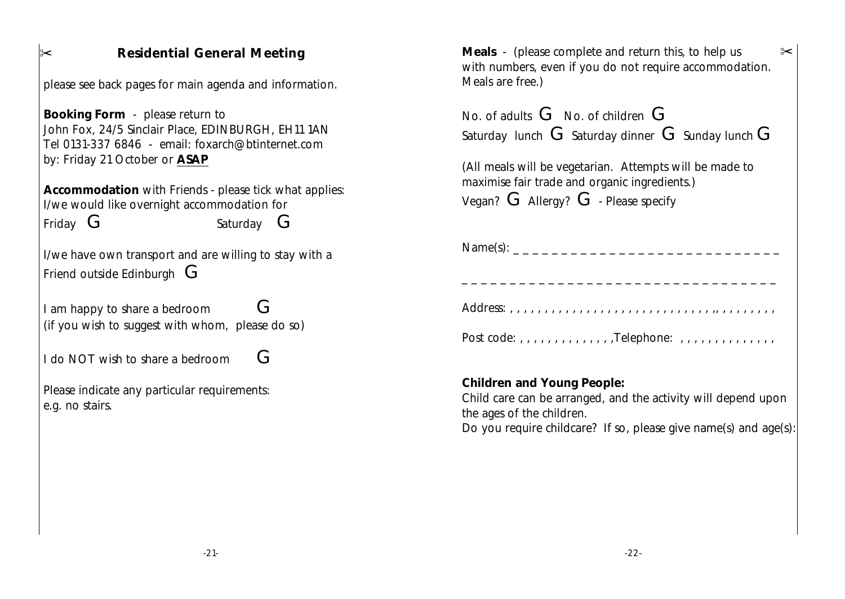| <b>Residential General Meeting</b><br>$\approx$<br>please see back pages for main agenda and information.                                                                   | Meals - (please complete and return this, to help us<br>$\approx$<br>with numbers, even if you do not require accommodation.<br>Meals are free.)                                                             |
|-----------------------------------------------------------------------------------------------------------------------------------------------------------------------------|--------------------------------------------------------------------------------------------------------------------------------------------------------------------------------------------------------------|
| Booking Form - please return to<br>John Fox, 24/5 Sinclair Place, EDINBURGH, EH11 1AN<br>Tel 0131-337 6846 - email: foxarch@btinternet.com<br>by: Friday 21 October or ASAP | No. of adults $G$ No. of children $G$<br>Saturday lunch $G$ Saturday dinner $G$ Sunday lunch $G$<br>(All meals will be vegetarian. Attempts will be made to<br>maximise fair trade and organic ingredients.) |
| Accommodation with Friends - please tick what applies:<br>I/we would like overnight accommodation for<br>Friday $G$<br>Saturday $G$                                         | Vegan? $G$ Allergy? $G$ - Please specify                                                                                                                                                                     |
| I/we have own transport and are willing to stay with a<br>Friend outside Edinburgh $\mathsf G$                                                                              | Name(s): ___________________________________                                                                                                                                                                 |
| G<br>I am happy to share a bedroom<br>(if you wish to suggest with whom, please do so)                                                                                      | Post code: , , , , , , , , , , , , , , Telephone: , , , , , , , , , , , , , , , ,                                                                                                                            |
| G<br>I do NOT wish to share a bedroom                                                                                                                                       |                                                                                                                                                                                                              |
| Please indicate any particular requirements:<br>e.g. no stairs.                                                                                                             | Children and Young People:<br>Child care can be arranged, and the activity will depend upon<br>the ages of the children.<br>Do you require childcare? If so, please give name(s) and age(s):                 |